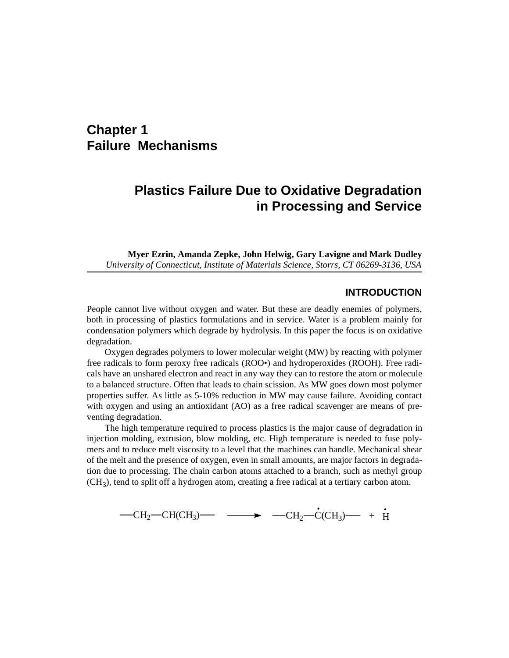# **Chapter 1 Failure Mechanisms**

# **Plastics Failure Due to Oxidative Degradation in Processing and Service**

**Myer Ezrin, Amanda Zepke, John Helwig, Gary Lavigne and Mark Dudley** *University of Connecticut, Institute of Materials Science, Storrs, CT 06269-3136, USA*

#### **INTRODUCTION**

People cannot live without oxygen and water. But these are deadly enemies of polymers, both in processing of plastics formulations and in service. Water is a problem mainly for condensation polymers which degrade by hydrolysis. In this paper the focus is on oxidative degradation.

Oxygen degrades polymers to lower molecular weight (MW) by reacting with polymer free radicals to form peroxy free radicals (ROO•) and hydroperoxides (ROOH). Free radicals have an unshared electron and react in any way they can to restore the atom or molecule to a balanced structure. Often that leads to chain scission. As MW goes down most polymer properties suffer. As little as 5-10% reduction in MW may cause failure. Avoiding contact with oxygen and using an antioxidant (AO) as a free radical scavenger are means of preventing degradation.

The high temperature required to process plastics is the major cause of degradation in injection molding, extrusion, blow molding, etc. High temperature is needed to fuse polymers and to reduce melt viscosity to a level that the machines can handle. Mechanical shear of the melt and the presence of oxygen, even in small amounts, are major factors in degradation due to processing. The chain carbon atoms attached to a branch, such as methyl group  $(CH<sub>3</sub>)$ , tend to split off a hydrogen atom, creating a free radical at a tertiary carbon atom.

$$
-CH_2-CH(CH_3) \longrightarrow -CH_2-C(H_3) \longrightarrow \dot{H}
$$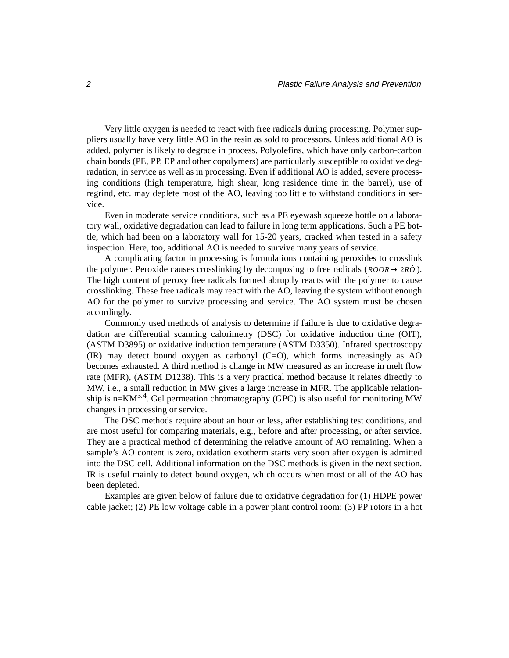Very little oxygen is needed to react with free radicals during processing. Polymer suppliers usually have very little AO in the resin as sold to processors. Unless additional AO is added, polymer is likely to degrade in process. Polyolefins, which have only carbon-carbon chain bonds (PE, PP, EP and other copolymers) are particularly susceptible to oxidative degradation, in service as well as in processing. Even if additional AO is added, severe processing conditions (high temperature, high shear, long residence time in the barrel), use of regrind, etc. may deplete most of the AO, leaving too little to withstand conditions in service.

Even in moderate service conditions, such as a PE eyewash squeeze bottle on a laboratory wall, oxidative degradation can lead to failure in long term applications. Such a PE bottle, which had been on a laboratory wall for 15-20 years, cracked when tested in a safety inspection. Here, too, additional AO is needed to survive many years of service.

A complicating factor in processing is formulations containing peroxides to crosslink the polymer. Peroxide causes crosslinking by decomposing to free radicals ( $ROOR \rightarrow 2R\dot{O}$ ). The high content of peroxy free radicals formed abruptly reacts with the polymer to cause crosslinking. These free radicals may react with the AO, leaving the system without enough AO for the polymer to survive processing and service. The AO system must be chosen accordingly.

Commonly used methods of analysis to determine if failure is due to oxidative degradation are differential scanning calorimetry (DSC) for oxidative induction time (OIT), (ASTM D3895) or oxidative induction temperature (ASTM D3350). Infrared spectroscopy (IR) may detect bound oxygen as carbonyl (C=O), which forms increasingly as AO becomes exhausted. A third method is change in MW measured as an increase in melt flow rate (MFR), (ASTM D1238). This is a very practical method because it relates directly to MW, i.e., a small reduction in MW gives a large increase in MFR. The applicable relationship is n=KM3.4. Gel permeation chromatography (GPC) is also useful for monitoring MW changes in processing or service.

The DSC methods require about an hour or less, after establishing test conditions, and are most useful for comparing materials, e.g., before and after processing, or after service. They are a practical method of determining the relative amount of AO remaining. When a sample's AO content is zero, oxidation exotherm starts very soon after oxygen is admitted into the DSC cell. Additional information on the DSC methods is given in the next section. IR is useful mainly to detect bound oxygen, which occurs when most or all of the AO has been depleted.

Examples are given below of failure due to oxidative degradation for (1) HDPE power cable jacket; (2) PE low voltage cable in a power plant control room; (3) PP rotors in a hot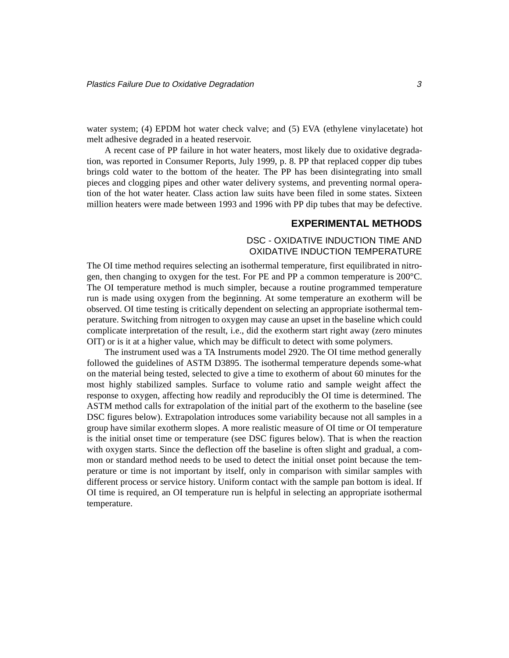water system; (4) EPDM hot water check valve; and (5) EVA (ethylene vinylacetate) hot melt adhesive degraded in a heated reservoir.

A recent case of PP failure in hot water heaters, most likely due to oxidative degradation, was reported in Consumer Reports, July 1999, p. 8. PP that replaced copper dip tubes brings cold water to the bottom of the heater. The PP has been disintegrating into small pieces and clogging pipes and other water delivery systems, and preventing normal operation of the hot water heater. Class action law suits have been filed in some states. Sixteen million heaters were made between 1993 and 1996 with PP dip tubes that may be defective.

### **EXPERIMENTAL METHODS**

## DSC - OXIDATIVE INDUCTION TIME AND OXIDATIVE INDUCTION TEMPERATURE

The OI time method requires selecting an isothermal temperature, first equilibrated in nitrogen, then changing to oxygen for the test. For PE and PP a common temperature is 200°C. The OI temperature method is much simpler, because a routine programmed temperature run is made using oxygen from the beginning. At some temperature an exotherm will be observed. OI time testing is critically dependent on selecting an appropriate isothermal temperature. Switching from nitrogen to oxygen may cause an upset in the baseline which could complicate interpretation of the result, i.e., did the exotherm start right away (zero minutes OIT) or is it at a higher value, which may be difficult to detect with some polymers.

The instrument used was a TA Instruments model 2920. The OI time method generally followed the guidelines of ASTM D3895. The isothermal temperature depends some-what on the material being tested, selected to give a time to exotherm of about 60 minutes for the most highly stabilized samples. Surface to volume ratio and sample weight affect the response to oxygen, affecting how readily and reproducibly the OI time is determined. The ASTM method calls for extrapolation of the initial part of the exotherm to the baseline (see DSC figures below). Extrapolation introduces some variability because not all samples in a group have similar exotherm slopes. A more realistic measure of OI time or OI temperature is the initial onset time or temperature (see DSC figures below). That is when the reaction with oxygen starts. Since the deflection off the baseline is often slight and gradual, a common or standard method needs to be used to detect the initial onset point because the temperature or time is not important by itself, only in comparison with similar samples with different process or service history. Uniform contact with the sample pan bottom is ideal. If OI time is required, an OI temperature run is helpful in selecting an appropriate isothermal temperature.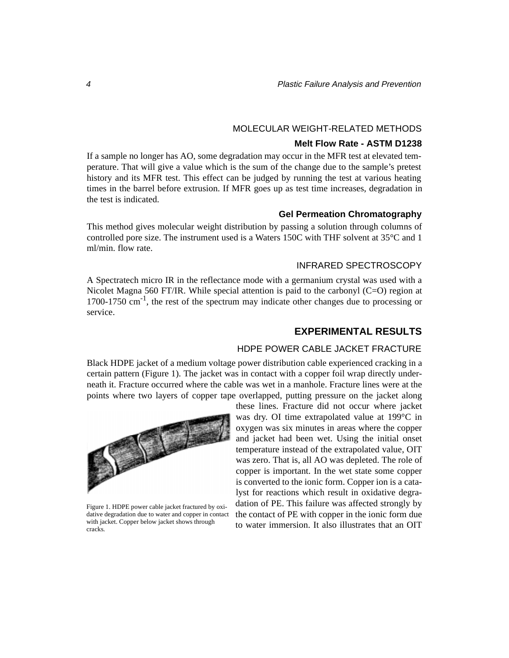## MOLECULAR WEIGHT-RELATED METHODS

## **Melt Flow Rate - ASTM D1238**

If a sample no longer has AO, some degradation may occur in the MFR test at elevated temperature. That will give a value which is the sum of the change due to the sample's pretest history and its MFR test. This effect can be judged by running the test at various heating times in the barrel before extrusion. If MFR goes up as test time increases, degradation in the test is indicated.

## **Gel Permeation Chromatography**

This method gives molecular weight distribution by passing a solution through columns of controlled pore size. The instrument used is a Waters 150C with THF solvent at 35°C and 1 ml/min. flow rate.

## INFRARED SPECTROSCOPY

A Spectratech micro IR in the reflectance mode with a germanium crystal was used with a Nicolet Magna 560 FT/IR. While special attention is paid to the carbonyl (C=O) region at 1700-1750 cm-1, the rest of the spectrum may indicate other changes due to processing or service.

## **EXPERIMENTAL RESULTS**

## HDPE POWER CABLE JACKET FRACTURE

Black HDPE jacket of a medium voltage power distribution cable experienced cracking in a certain pattern (Figure 1). The jacket was in contact with a copper foil wrap directly underneath it. Fracture occurred where the cable was wet in a manhole. Fracture lines were at the points where two layers of copper tape overlapped, putting pressure on the jacket along



Figure 1. HDPE power cable jacket fractured by oxidative degradation due to water and copper in contact with jacket. Copper below jacket shows through cracks.

these lines. Fracture did not occur where jacket was dry. OI time extrapolated value at 199°C in oxygen was six minutes in areas where the copper and jacket had been wet. Using the initial onset temperature instead of the extrapolated value, OIT was zero. That is, all AO was depleted. The role of copper is important. In the wet state some copper is converted to the ionic form. Copper ion is a catalyst for reactions which result in oxidative degradation of PE. This failure was affected strongly by the contact of PE with copper in the ionic form due to water immersion. It also illustrates that an OIT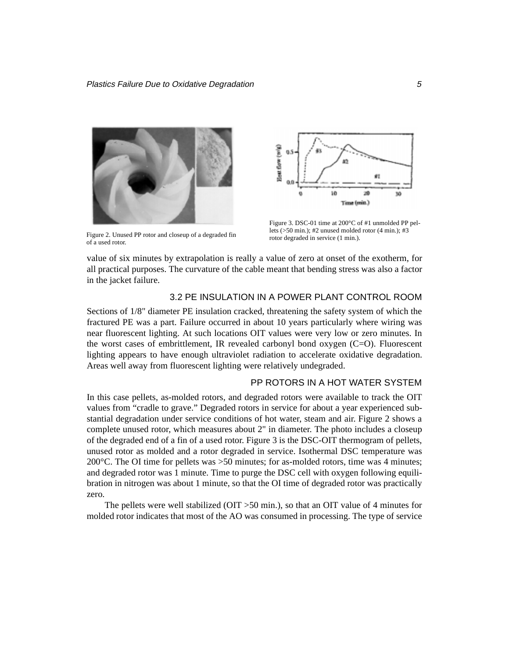

Figure 2. Unused PP rotor and closeup of a degraded fin of a used rotor.



Figure 3. DSC-01 time at 200°C of #1 unmolded PP pellets (>50 min.); #2 unused molded rotor (4 min.); #3 rotor degraded in service (1 min.).

value of six minutes by extrapolation is really a value of zero at onset of the exotherm, for all practical purposes. The curvature of the cable meant that bending stress was also a factor in the jacket failure.

#### 3.2 PE INSULATION IN A POWER PLANT CONTROL ROOM

Sections of 1/8" diameter PE insulation cracked, threatening the safety system of which the fractured PE was a part. Failure occurred in about 10 years particularly where wiring was near fluorescent lighting. At such locations OIT values were very low or zero minutes. In the worst cases of embrittlement, IR revealed carbonyl bond oxygen (C=O). Fluorescent lighting appears to have enough ultraviolet radiation to accelerate oxidative degradation. Areas well away from fluorescent lighting were relatively undegraded.

### PP ROTORS IN A HOT WATER SYSTEM

In this case pellets, as-molded rotors, and degraded rotors were available to track the OIT values from "cradle to grave." Degraded rotors in service for about a year experienced substantial degradation under service conditions of hot water, steam and air. Figure 2 shows a complete unused rotor, which measures about 2" in diameter. The photo includes a closeup of the degraded end of a fin of a used rotor. Figure 3 is the DSC-OIT thermogram of pellets, unused rotor as molded and a rotor degraded in service. Isothermal DSC temperature was 200°C. The OI time for pellets was >50 minutes; for as-molded rotors, time was 4 minutes; and degraded rotor was 1 minute. Time to purge the DSC cell with oxygen following equilibration in nitrogen was about 1 minute, so that the OI time of degraded rotor was practically zero.

The pellets were well stabilized (OIT >50 min.), so that an OIT value of 4 minutes for molded rotor indicates that most of the AO was consumed in processing. The type of service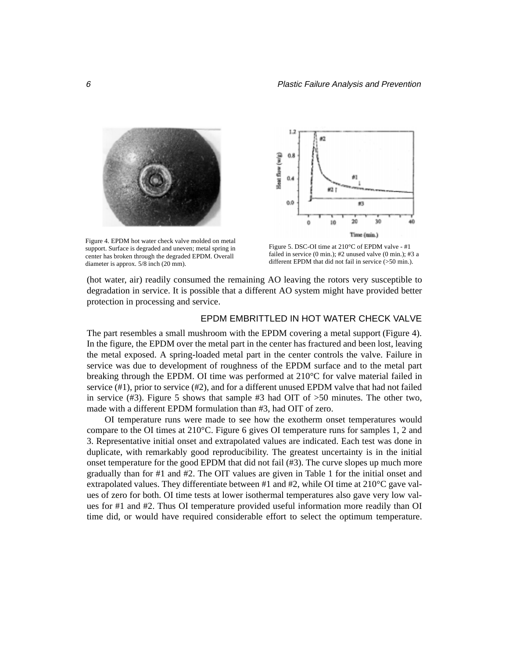

Figure 4. EPDM hot water check valve molded on metal support. Surface is degraded and uneven; metal spring in center has broken through the degraded EPDM. Overall diameter is approx. 5/8 inch (20 mm).



Figure 5. DSC-OI time at 210°C of EPDM valve - #1 failed in service (0 min.); #2 unused valve (0 min.); #3 a different EPDM that did not fail in service (>50 min.).

(hot water, air) readily consumed the remaining AO leaving the rotors very susceptible to degradation in service. It is possible that a different AO system might have provided better protection in processing and service.

### EPDM EMBRITTLED IN HOT WATER CHECK VALVE

The part resembles a small mushroom with the EPDM covering a metal support (Figure 4). In the figure, the EPDM over the metal part in the center has fractured and been lost, leaving the metal exposed. A spring-loaded metal part in the center controls the valve. Failure in service was due to development of roughness of the EPDM surface and to the metal part breaking through the EPDM. OI time was performed at 210°C for valve material failed in service  $(\#1)$ , prior to service  $(\#2)$ , and for a different unused EPDM valve that had not failed in service  $(\#3)$ . Figure 5 shows that sample  $\#3$  had OIT of  $>50$  minutes. The other two, made with a different EPDM formulation than #3, had OIT of zero.

OI temperature runs were made to see how the exotherm onset temperatures would compare to the OI times at 210°C. Figure 6 gives OI temperature runs for samples 1, 2 and 3. Representative initial onset and extrapolated values are indicated. Each test was done in duplicate, with remarkably good reproducibility. The greatest uncertainty is in the initial onset temperature for the good EPDM that did not fail (#3). The curve slopes up much more gradually than for #1 and #2. The OIT values are given in Table 1 for the initial onset and extrapolated values. They differentiate between #1 and #2, while OI time at  $210^{\circ}$ C gave values of zero for both. OI time tests at lower isothermal temperatures also gave very low values for #1 and #2. Thus OI temperature provided useful information more readily than OI time did, or would have required considerable effort to select the optimum temperature.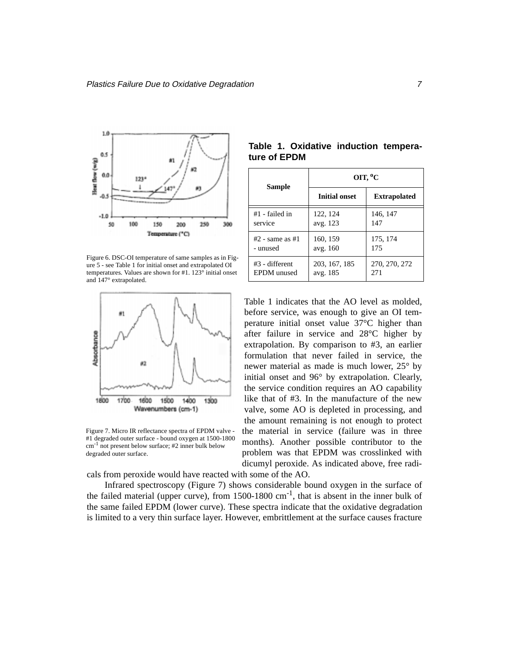

Figure 6. DSC-OI temperature of same samples as in Figure 5 - see Table 1 for initial onset and extrapolated OI temperatures. Values are shown for #1. 123° initial onset and 147° extrapolated.



Figure 7. Micro IR reflectance spectra of EPDM valve - #1 degraded outer surface - bound oxygen at 1500-1800  $cm<sup>-1</sup>$  not present below surface; #2 inner bulk below degraded outer surface.

| Sample              | OIT, <sup>o</sup> C  |                     |  |
|---------------------|----------------------|---------------------|--|
|                     | <b>Initial onset</b> | <b>Extrapolated</b> |  |
| #1 - failed in      | 122, 124             | 146, 147            |  |
| service             | avg. 123             | 147                 |  |
| $#2$ - same as $#1$ | 160, 159             | 175, 174            |  |
| - unused            | avg. 160             | 175                 |  |
| #3 - different      | 203, 167, 185        | 270, 270, 272       |  |
| <b>EPDM</b> unused  | avg. 185             | 271                 |  |

**Table 1. Oxidative induction temperature of EPDM**

Table 1 indicates that the AO level as molded, before service, was enough to give an OI temperature initial onset value 37°C higher than after failure in service and 28°C higher by extrapolation. By comparison to #3, an earlier formulation that never failed in service, the newer material as made is much lower, 25° by initial onset and 96° by extrapolation. Clearly, the service condition requires an AO capability like that of #3. In the manufacture of the new valve, some AO is depleted in processing, and the amount remaining is not enough to protect the material in service (failure was in three months). Another possible contributor to the problem was that EPDM was crosslinked with dicumyl peroxide. As indicated above, free radi-

cals from peroxide would have reacted with some of the AO.

Infrared spectroscopy (Figure 7) shows considerable bound oxygen in the surface of the failed material (upper curve), from 1500-1800  $\text{cm}^{-1}$ , that is absent in the inner bulk of the same failed EPDM (lower curve). These spectra indicate that the oxidative degradation is limited to a very thin surface layer. However, embrittlement at the surface causes fracture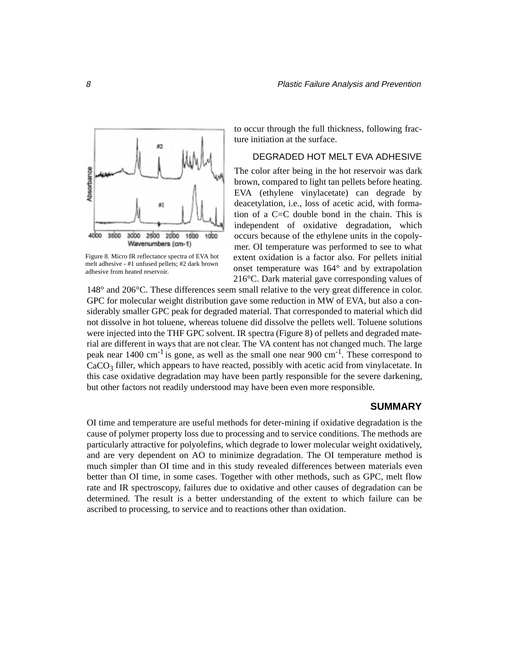

Figure 8. Micro IR reflectance spectra of EVA hot melt adhesive - #1 unfused pellets; #2 dark brown adhesive from heated reservoir.

to occur through the full thickness, following fracture initiation at the surface.

### DEGRADED HOT MELT EVA ADHESIVE

The color after being in the hot reservoir was dark brown, compared to light tan pellets before heating. EVA (ethylene vinylacetate) can degrade by deacetylation, i.e., loss of acetic acid, with formation of a C=C double bond in the chain. This is independent of oxidative degradation, which occurs because of the ethylene units in the copolymer. OI temperature was performed to see to what extent oxidation is a factor also. For pellets initial onset temperature was 164° and by extrapolation 216°C. Dark material gave corresponding values of

148° and 206°C. These differences seem small relative to the very great difference in color. GPC for molecular weight distribution gave some reduction in MW of EVA, but also a considerably smaller GPC peak for degraded material. That corresponded to material which did not dissolve in hot toluene, whereas toluene did dissolve the pellets well. Toluene solutions were injected into the THF GPC solvent. IR spectra (Figure 8) of pellets and degraded material are different in ways that are not clear. The VA content has not changed much. The large peak near  $1400 \text{ cm}^{-1}$  is gone, as well as the small one near  $900 \text{ cm}^{-1}$ . These correspond to  $CaCO<sub>3</sub>$  filler, which appears to have reacted, possibly with acetic acid from vinylacetate. In this case oxidative degradation may have been partly responsible for the severe darkening, but other factors not readily understood may have been even more responsible.

### **SUMMARY**

OI time and temperature are useful methods for deter-mining if oxidative degradation is the cause of polymer property loss due to processing and to service conditions. The methods are particularly attractive for polyolefins, which degrade to lower molecular weight oxidatively, and are very dependent on AO to minimize degradation. The OI temperature method is much simpler than OI time and in this study revealed differences between materials even better than OI time, in some cases. Together with other methods, such as GPC, melt flow rate and IR spectroscopy, failures due to oxidative and other causes of degradation can be determined. The result is a better understanding of the extent to which failure can be ascribed to processing, to service and to reactions other than oxidation.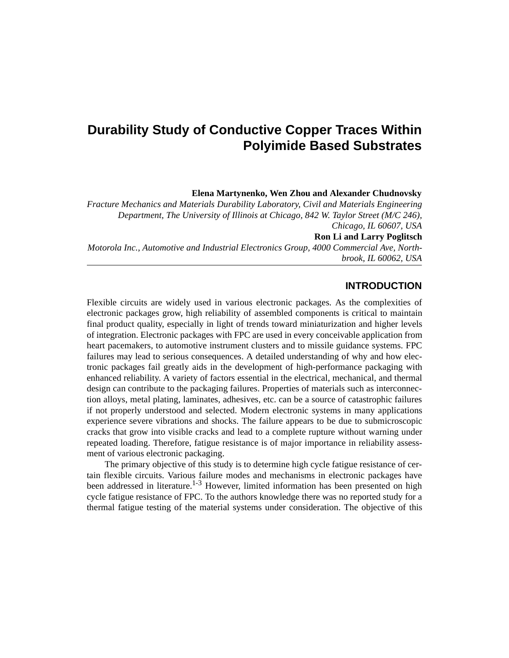# **Durability Study of Conductive Copper Traces Within Polyimide Based Substrates**

**Elena Martynenko, Wen Zhou and Alexander Chudnovsky**

*Fracture Mechanics and Materials Durability Laboratory, Civil and Materials Engineering Department, The University of Illinois at Chicago, 842 W. Taylor Street (M/C 246), Chicago, IL 60607, USA*

**Ron Li and Larry Poglitsch**

*Motorola Inc., Automotive and Industrial Electronics Group, 4000 Commercial Ave, Northbrook, IL 60062, USA*

### **INTRODUCTION**

Flexible circuits are widely used in various electronic packages. As the complexities of electronic packages grow, high reliability of assembled components is critical to maintain final product quality, especially in light of trends toward miniaturization and higher levels of integration. Electronic packages with FPC are used in every conceivable application from heart pacemakers, to automotive instrument clusters and to missile guidance systems. FPC failures may lead to serious consequences. A detailed understanding of why and how electronic packages fail greatly aids in the development of high-performance packaging with enhanced reliability. A variety of factors essential in the electrical, mechanical, and thermal design can contribute to the packaging failures. Properties of materials such as interconnection alloys, metal plating, laminates, adhesives, etc. can be a source of catastrophic failures if not properly understood and selected. Modern electronic systems in many applications experience severe vibrations and shocks. The failure appears to be due to submicroscopic cracks that grow into visible cracks and lead to a complete rupture without warning under repeated loading. Therefore, fatigue resistance is of major importance in reliability assessment of various electronic packaging.

The primary objective of this study is to determine high cycle fatigue resistance of certain flexible circuits. Various failure modes and mechanisms in electronic packages have been addressed in literature.<sup>1-3</sup> However, limited information has been presented on high cycle fatigue resistance of FPC. To the authors knowledge there was no reported study for a thermal fatigue testing of the material systems under consideration. The objective of this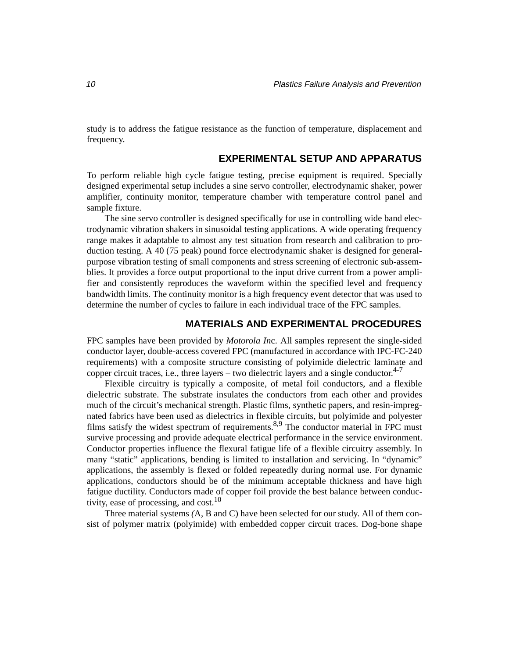study is to address the fatigue resistance as the function of temperature, displacement and frequency.

## **EXPERIMENTAL SETUP AND APPARATUS**

To perform reliable high cycle fatigue testing, precise equipment is required. Specially designed experimental setup includes a sine servo controller, electrodynamic shaker, power amplifier, continuity monitor, temperature chamber with temperature control panel and sample fixture.

The sine servo controller is designed specifically for use in controlling wide band electrodynamic vibration shakers in sinusoidal testing applications. A wide operating frequency range makes it adaptable to almost any test situation from research and calibration to production testing. A 40 (75 peak) pound force electrodynamic shaker is designed for generalpurpose vibration testing of small components and stress screening of electronic sub-assemblies. It provides a force output proportional to the input drive current from a power amplifier and consistently reproduces the waveform within the specified level and frequency bandwidth limits. The continuity monitor is a high frequency event detector that was used to determine the number of cycles to failure in each individual trace of the FPC samples.

## **MATERIALS AND EXPERIMENTAL PROCEDURES**

FPC samples have been provided by *Motorola In*c. All samples represent the single-sided conductor layer, double-access covered FPC (manufactured in accordance with IPC-FC-240 requirements) with a composite structure consisting of polyimide dielectric laminate and copper circuit traces, i.e., three layers – two dielectric layers and a single conductor. $4-7$ 

Flexible circuitry is typically a composite, of metal foil conductors, and a flexible dielectric substrate. The substrate insulates the conductors from each other and provides much of the circuit's mechanical strength. Plastic films, synthetic papers, and resin-impregnated fabrics have been used as dielectrics in flexible circuits, but polyimide and polyester films satisfy the widest spectrum of requirements.<sup>8,9</sup> The conductor material in FPC must survive processing and provide adequate electrical performance in the service environment. Conductor properties influence the flexural fatigue life of a flexible circuitry assembly. In many "static" applications, bending is limited to installation and servicing. In "dynamic" applications, the assembly is flexed or folded repeatedly during normal use. For dynamic applications, conductors should be of the minimum acceptable thickness and have high fatigue ductility. Conductors made of copper foil provide the best balance between conductivity, ease of processing, and  $cost<sup>10</sup>$ 

Three material systems *(*A, B and C) have been selected for our study. All of them consist of polymer matrix (polyimide) with embedded copper circuit traces. Dog-bone shape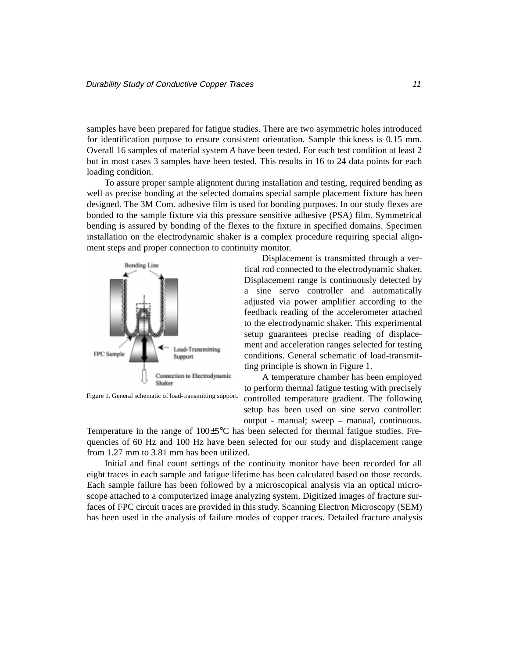samples have been prepared for fatigue studies. There are two asymmetric holes introduced for identification purpose to ensure consistent orientation. Sample thickness is 0.15 mm. Overall 16 samples of material system *A* have been tested. For each test condition at least 2 but in most cases 3 samples have been tested. This results in 16 to 24 data points for each loading condition.

To assure proper sample alignment during installation and testing, required bending as well as precise bonding at the selected domains special sample placement fixture has been designed. The 3M Com. adhesive film is used for bonding purposes. In our study flexes are bonded to the sample fixture via this pressure sensitive adhesive (PSA) film. Symmetrical bending is assured by bonding of the flexes to the fixture in specified domains. Specimen installation on the electrodynamic shaker is a complex procedure requiring special alignment steps and proper connection to continuity monitor.



Figure 1. General schematic of load-transmitting support.

Displacement is transmitted through a vertical rod connected to the electrodynamic shaker. Displacement range is continuously detected by a sine servo controller and automatically adjusted via power amplifier according to the feedback reading of the accelerometer attached to the electrodynamic shaker. This experimental setup guarantees precise reading of displacement and acceleration ranges selected for testing conditions. General schematic of load-transmitting principle is shown in Figure 1.

A temperature chamber has been employed to perform thermal fatigue testing with precisely controlled temperature gradient. The following setup has been used on sine servo controller: output - manual; sweep – manual, continuous.

Temperature in the range of 100±5°C has been selected for thermal fatigue studies. Frequencies of 60 Hz and 100 Hz have been selected for our study and displacement range from 1.27 mm to 3.81 mm has been utilized.

Initial and final count settings of the continuity monitor have been recorded for all eight traces in each sample and fatigue lifetime has been calculated based on those records. Each sample failure has been followed by a microscopical analysis via an optical microscope attached to a computerized image analyzing system. Digitized images of fracture surfaces of FPC circuit traces are provided in this study. Scanning Electron Microscopy (SEM) has been used in the analysis of failure modes of copper traces. Detailed fracture analysis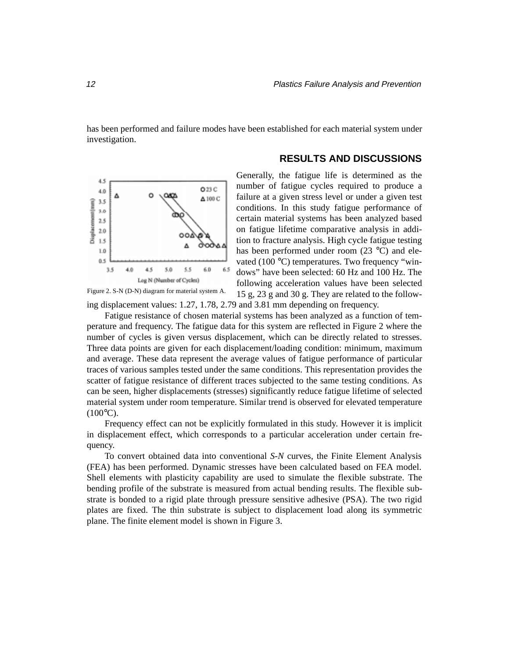has been performed and failure modes have been established for each material system under investigation.



Figure 2. S-N (D-N) diagram for material system A.

### **RESULTS AND DISCUSSIONS**

Generally, the fatigue life is determined as the number of fatigue cycles required to produce a failure at a given stress level or under a given test conditions. In this study fatigue performance of certain material systems has been analyzed based on fatigue lifetime comparative analysis in addition to fracture analysis. High cycle fatigue testing has been performed under room (23 °C) and elevated (100 °C) temperatures. Two frequency "windows" have been selected: 60 Hz and 100 Hz. The following acceleration values have been selected 15 g, 23 g and 30 g. They are related to the follow-

ing displacement values: 1.27, 1.78, 2.79 and 3.81 mm depending on frequency. Fatigue resistance of chosen material systems has been analyzed as a function of tem-

perature and frequency. The fatigue data for this system are reflected in Figure 2 where the number of cycles is given versus displacement, which can be directly related to stresses. Three data points are given for each displacement/loading condition: minimum, maximum and average. These data represent the average values of fatigue performance of particular traces of various samples tested under the same conditions. This representation provides the scatter of fatigue resistance of different traces subjected to the same testing conditions. As can be seen, higher displacements (stresses) significantly reduce fatigue lifetime of selected material system under room temperature. Similar trend is observed for elevated temperature  $(100^{\circ}C).$ 

Frequency effect can not be explicitly formulated in this study. However it is implicit in displacement effect, which corresponds to a particular acceleration under certain frequency.

To convert obtained data into conventional *S-N* curves, the Finite Element Analysis (FEA) has been performed. Dynamic stresses have been calculated based on FEA model. Shell elements with plasticity capability are used to simulate the flexible substrate. The bending profile of the substrate is measured from actual bending results. The flexible substrate is bonded to a rigid plate through pressure sensitive adhesive (PSA). The two rigid plates are fixed. The thin substrate is subject to displacement load along its symmetric plane. The finite element model is shown in Figure 3.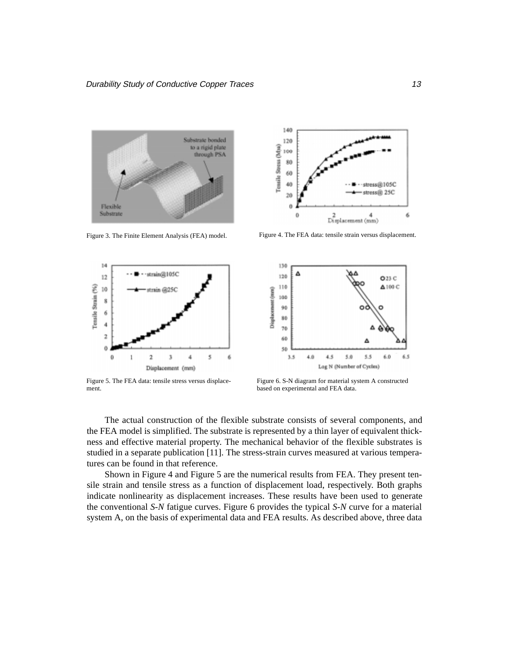



Figure 5. The FEA data: tensile stress versus displacement.



Figure 3. The Finite Element Analysis (FEA) model. Figure 4. The FEA data: tensile strain versus displacement.



Figure 6. S-N diagram for material system A constructed based on experimental and FEA data.

The actual construction of the flexible substrate consists of several components, and the FEA model is simplified. The substrate is represented by a thin layer of equivalent thickness and effective material property. The mechanical behavior of the flexible substrates is studied in a separate publication [11]. The stress-strain curves measured at various temperatures can be found in that reference.

Shown in Figure 4 and Figure 5 are the numerical results from FEA. They present tensile strain and tensile stress as a function of displacement load, respectively. Both graphs indicate nonlinearity as displacement increases. These results have been used to generate the conventional *S-N* fatigue curves. Figure 6 provides the typical *S-N* curve for a material system A, on the basis of experimental data and FEA results. As described above, three data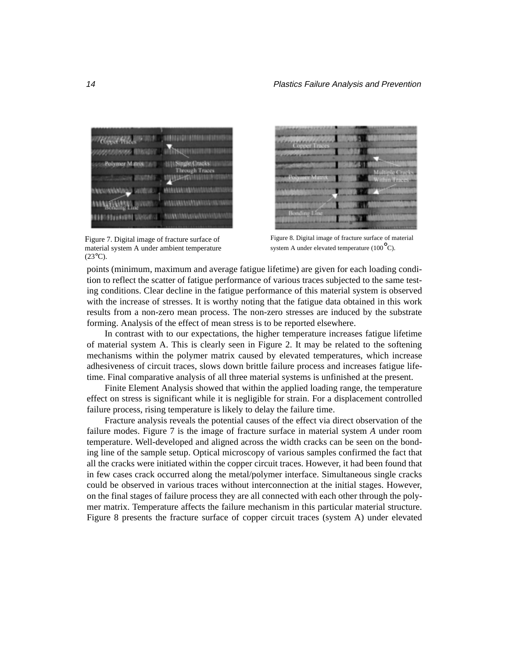

Figure 7. Digital image of fracture surface of material system A under ambient temperature  $(23^{\circ}C)$ .



Figure 8. Digital image of fracture surface of material system A under elevated temperature  $(100^{\circ}C)$ .

points (minimum, maximum and average fatigue lifetime) are given for each loading condition to reflect the scatter of fatigue performance of various traces subjected to the same testing conditions. Clear decline in the fatigue performance of this material system is observed with the increase of stresses. It is worthy noting that the fatigue data obtained in this work results from a non-zero mean process. The non-zero stresses are induced by the substrate forming. Analysis of the effect of mean stress is to be reported elsewhere.

In contrast with to our expectations, the higher temperature increases fatigue lifetime of material system A. This is clearly seen in Figure 2. It may be related to the softening mechanisms within the polymer matrix caused by elevated temperatures, which increase adhesiveness of circuit traces, slows down brittle failure process and increases fatigue lifetime. Final comparative analysis of all three material systems is unfinished at the present.

Finite Element Analysis showed that within the applied loading range, the temperature effect on stress is significant while it is negligible for strain. For a displacement controlled failure process, rising temperature is likely to delay the failure time.

Fracture analysis reveals the potential causes of the effect via direct observation of the failure modes. Figure 7 is the image of fracture surface in material system *A* under room temperature. Well-developed and aligned across the width cracks can be seen on the bonding line of the sample setup. Optical microscopy of various samples confirmed the fact that all the cracks were initiated within the copper circuit traces. However, it had been found that in few cases crack occurred along the metal/polymer interface. Simultaneous single cracks could be observed in various traces without interconnection at the initial stages. However, on the final stages of failure process they are all connected with each other through the polymer matrix. Temperature affects the failure mechanism in this particular material structure. Figure 8 presents the fracture surface of copper circuit traces (system A) under elevated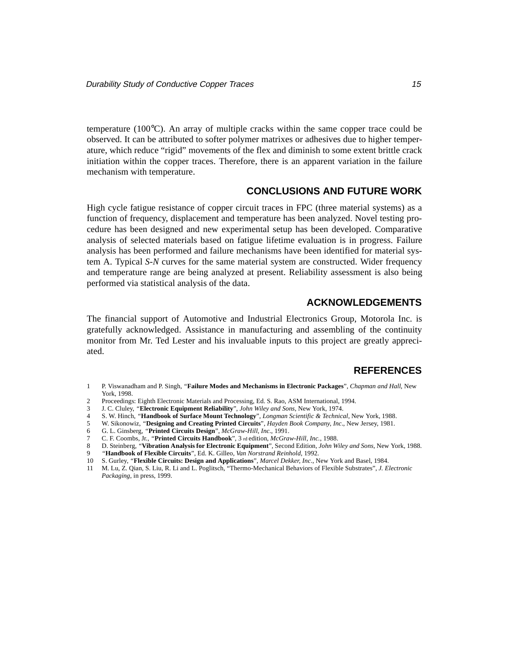temperature (100°C). An array of multiple cracks within the same copper trace could be observed. It can be attributed to softer polymer matrixes or adhesives due to higher temperature, which reduce "rigid" movements of the flex and diminish to some extent brittle crack initiation within the copper traces. Therefore, there is an apparent variation in the failure mechanism with temperature.

## **CONCLUSIONS AND FUTURE WORK**

High cycle fatigue resistance of copper circuit traces in FPC (three material systems) as a function of frequency, displacement and temperature has been analyzed. Novel testing procedure has been designed and new experimental setup has been developed. Comparative analysis of selected materials based on fatigue lifetime evaluation is in progress. Failure analysis has been performed and failure mechanisms have been identified for material system A. Typical *S-N* curves for the same material system are constructed. Wider frequency and temperature range are being analyzed at present. Reliability assessment is also being performed via statistical analysis of the data.

## **ACKNOWLEDGEMENTS**

The financial support of Automotive and Industrial Electronics Group, Motorola Inc. is gratefully acknowledged. Assistance in manufacturing and assembling of the continuity monitor from Mr. Ted Lester and his invaluable inputs to this project are greatly appreciated.

## **REFERENCES**

- 1 P. Viswanadham and P. Singh, *"***Failure Modes and Mechanisms in Electronic Packages**", *Chapman and Hall*, New York, 1998.
- 2 Proceedings: Eighth Electronic Materials and Processing, Ed. S. Rao, ASM International, 1994.
- 3 J. C. Cluley, *"***Electronic Equipment Reliability**", *John Wiley and Sons*, New York, 1974.
- 4 S. W. Hinch, *"***Handbook of Surface Mount Technology**", *Longman Scientific & Technical*, New York, 1988.
- 5 W. Sikonowiz, *"***Designing and Creating Printed Circuits**", *Hayden Book Company, Inc*., New Jersey, 1981.
- 6 G. L. Ginsberg, *"***Printed Circuits Design**", *McGraw-Hill, Inc*., 1991.
- 7 C. F. Coombs, Jr., *"***Printed Circuits Handbook**", 3 rd edition, *McGraw-Hill, Inc.*, 1988.
- 8 D. Steinberg, *"***Vibration Analysis for Electronic Equipment**", Second Edition, *John Wiley and Sons*, New York, 1988. 9 *"***Handbook of Flexible Circuits**", Ed. K. Gilleo, *Van Norstrand Reinhold*, 1992.
- 10 S. Gurley, *"***Flexible Circuits: Design and Applications**", *Marcel Dekker, Inc*., New York and Basel, 1984.
- 11 M. Lu, Z. Qian, S. Liu, R. Li and L. Poglitsch, "Thermo-Mechanical Behaviors of Flexible Substrates", *J. Electronic Packaging*, in press, 1999.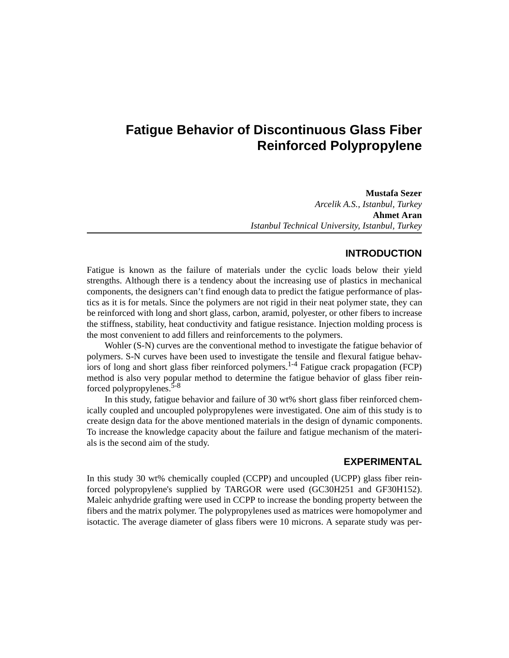# **Fatigue Behavior of Discontinuous Glass Fiber Reinforced Polypropylene**

**Mustafa Sezer**

*Arcelik A.S., Istanbul, Turkey* **Ahmet Aran** *Istanbul Technical University, Istanbul, Turkey*

## **INTRODUCTION**

Fatigue is known as the failure of materials under the cyclic loads below their yield strengths. Although there is a tendency about the increasing use of plastics in mechanical components, the designers can't find enough data to predict the fatigue performance of plastics as it is for metals. Since the polymers are not rigid in their neat polymer state, they can be reinforced with long and short glass, carbon, aramid, polyester, or other fibers to increase the stiffness, stability, heat conductivity and fatigue resistance. Injection molding process is the most convenient to add fillers and reinforcements to the polymers.

Wohler (S-N) curves are the conventional method to investigate the fatigue behavior of polymers. S-N curves have been used to investigate the tensile and flexural fatigue behaviors of long and short glass fiber reinforced polymers.<sup>1-4</sup> Fatigue crack propagation (FCP) method is also very popular method to determine the fatigue behavior of glass fiber reinforced polypropylenes.  $5-8$ 

In this study, fatigue behavior and failure of 30 wt% short glass fiber reinforced chemically coupled and uncoupled polypropylenes were investigated. One aim of this study is to create design data for the above mentioned materials in the design of dynamic components. To increase the knowledge capacity about the failure and fatigue mechanism of the materials is the second aim of the study.

### **EXPERIMENTAL**

In this study 30 wt% chemically coupled (CCPP) and uncoupled (UCPP) glass fiber reinforced polypropylene's supplied by TARGOR were used (GC30H251 and GF30H152). Maleic anhydride grafting were used in CCPP to increase the bonding property between the fibers and the matrix polymer. The polypropylenes used as matrices were homopolymer and isotactic. The average diameter of glass fibers were 10 microns. A separate study was per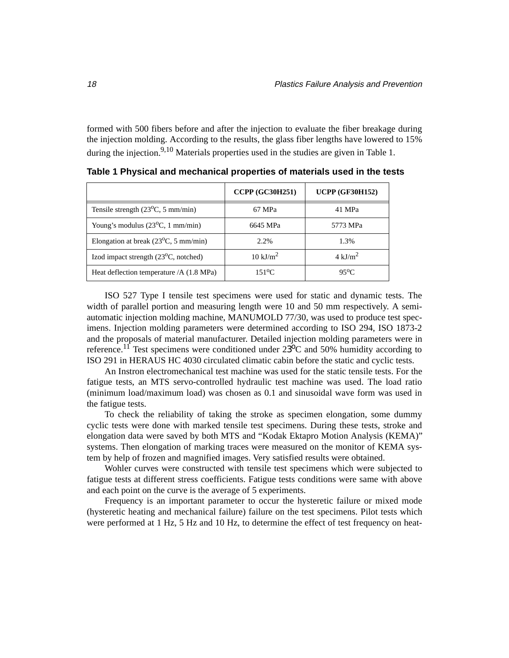formed with 500 fibers before and after the injection to evaluate the fiber breakage during the injection molding. According to the results, the glass fiber lengths have lowered to 15% during the injection.<sup>9,10</sup> Materials properties used in the studies are given in Table 1.

|                                                       | <b>CCPP (GC30H251)</b> | <b>UCPP (GF30H152)</b> |
|-------------------------------------------------------|------------------------|------------------------|
| Tensile strength $(23^{\circ}C, 5 \text{ mm/min})$    | 67 MPa                 | 41 MPa                 |
| Young's modulus $(23^{\circ}C, 1 \text{ mm/min})$     | 6645 MPa               | 5773 MPa               |
| Elongation at break $(23^{\circ}C, 5 \text{ mm/min})$ | 2.2%                   | 1.3%                   |
| Izod impact strength $(23^{\circ}C,$ notched)         | $10 \text{ kJ/m}^2$    | $4 \text{ kJ/m}^2$     |
| Heat deflection temperature /A (1.8 MPa)              | $151^{\circ}$ C        | $95^{\circ}$ C         |

**Table 1 Physical and mechanical properties of materials used in the tests**

ISO 527 Type I tensile test specimens were used for static and dynamic tests. The width of parallel portion and measuring length were 10 and 50 mm respectively. A semiautomatic injection molding machine, MANUMOLD 77/30, was used to produce test specimens. Injection molding parameters were determined according to ISO 294, ISO 1873-2 and the proposals of material manufacturer. Detailed injection molding parameters were in reference.<sup>11</sup> Test specimens were conditioned under  $23^{\circ}$ C and 50% humidity according to ISO 291 in HERAUS HC 4030 circulated climatic cabin before the static and cyclic tests.

An Instron electromechanical test machine was used for the static tensile tests. For the fatigue tests, an MTS servo-controlled hydraulic test machine was used. The load ratio (minimum load/maximum load) was chosen as 0.1 and sinusoidal wave form was used in the fatigue tests.

To check the reliability of taking the stroke as specimen elongation, some dummy cyclic tests were done with marked tensile test specimens. During these tests, stroke and elongation data were saved by both MTS and "Kodak Ektapro Motion Analysis (KEMA)" systems. Then elongation of marking traces were measured on the monitor of KEMA system by help of frozen and magnified images. Very satisfied results were obtained.

Wohler curves were constructed with tensile test specimens which were subjected to fatigue tests at different stress coefficients. Fatigue tests conditions were same with above and each point on the curve is the average of 5 experiments.

Frequency is an important parameter to occur the hysteretic failure or mixed mode (hysteretic heating and mechanical failure) failure on the test specimens. Pilot tests which were performed at 1 Hz, 5 Hz and 10 Hz, to determine the effect of test frequency on heat-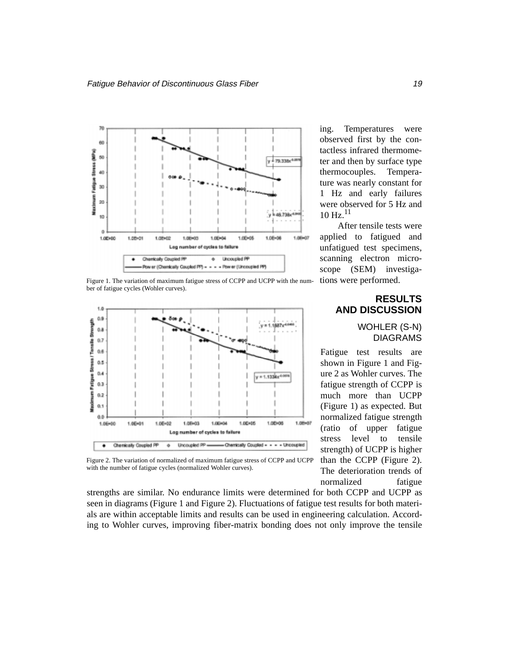

Figure 1. The variation of maximum fatigue stress of CCPP and UCPP with the number of fatigue cycles (Wohler curves).



Figure 2. The variation of normalized of maximum fatigue stress of CCPP and UCPP with the number of fatigue cycles (normalized Wohler curves).

strengths are similar. No endurance limits were determined for both CCPP and UCPP as seen in diagrams (Figure 1 and Figure 2). Fluctuations of fatigue test results for both materials are within acceptable limits and results can be used in engineering calculation. According to Wohler curves, improving fiber-matrix bonding does not only improve the tensile

ing. Temperatures were observed first by the contactless infrared thermometer and then by surface type thermocouples. Temperature was nearly constant for 1 Hz and early failures were observed for 5 Hz and  $10 \text{ Hz}$ <sup>11</sup>

After tensile tests were applied to fatigued and unfatigued test specimens, scanning electron microscope (SEM) investigations were performed.

### **RESULTS AND DISCUSSION**

#### WOHLER (S-N) DIAGRAMS

Fatigue test results are shown in Figure 1 and Figure 2 as Wohler curves. The fatigue strength of CCPP is much more than UCPP (Figure 1) as expected. But normalized fatigue strength (ratio of upper fatigue stress level to tensile strength) of UCPP is higher than the CCPP (Figure 2). The deterioration trends of normalized fatigue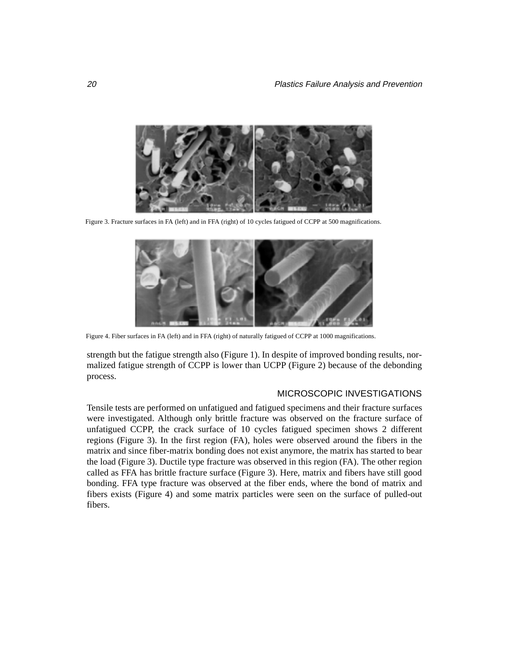

Figure 3. Fracture surfaces in FA (left) and in FFA (right) of 10 cycles fatigued of CCPP at 500 magnifications.



Figure 4. Fiber surfaces in FA (left) and in FFA (right) of naturally fatigued of CCPP at 1000 magnifications.

strength but the fatigue strength also (Figure 1). In despite of improved bonding results, normalized fatigue strength of CCPP is lower than UCPP (Figure 2) because of the debonding process.

## MICROSCOPIC INVESTIGATIONS

Tensile tests are performed on unfatigued and fatigued specimens and their fracture surfaces were investigated. Although only brittle fracture was observed on the fracture surface of unfatigued CCPP, the crack surface of 10 cycles fatigued specimen shows 2 different regions (Figure 3). In the first region (FA), holes were observed around the fibers in the matrix and since fiber-matrix bonding does not exist anymore, the matrix has started to bear the load (Figure 3). Ductile type fracture was observed in this region (FA). The other region called as FFA has brittle fracture surface (Figure 3). Here, matrix and fibers have still good bonding. FFA type fracture was observed at the fiber ends, where the bond of matrix and fibers exists (Figure 4) and some matrix particles were seen on the surface of pulled-out fibers.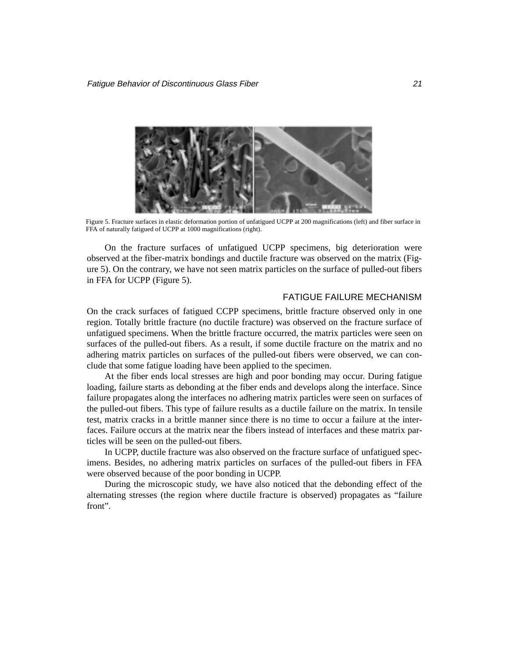

Figure 5. Fracture surfaces in elastic deformation portion of unfatigued UCPP at 200 magnifications (left) and fiber surface in FFA of naturally fatigued of UCPP at 1000 magnifications (right).

On the fracture surfaces of unfatigued UCPP specimens, big deterioration were observed at the fiber-matrix bondings and ductile fracture was observed on the matrix (Figure 5). On the contrary, we have not seen matrix particles on the surface of pulled-out fibers in FFA for UCPP (Figure 5).

## FATIGUE FAILURE MECHANISM

On the crack surfaces of fatigued CCPP specimens, brittle fracture observed only in one region. Totally brittle fracture (no ductile fracture) was observed on the fracture surface of unfatigued specimens. When the brittle fracture occurred, the matrix particles were seen on surfaces of the pulled-out fibers. As a result, if some ductile fracture on the matrix and no adhering matrix particles on surfaces of the pulled-out fibers were observed, we can conclude that some fatigue loading have been applied to the specimen.

At the fiber ends local stresses are high and poor bonding may occur. During fatigue loading, failure starts as debonding at the fiber ends and develops along the interface. Since failure propagates along the interfaces no adhering matrix particles were seen on surfaces of the pulled-out fibers. This type of failure results as a ductile failure on the matrix. In tensile test, matrix cracks in a brittle manner since there is no time to occur a failure at the interfaces. Failure occurs at the matrix near the fibers instead of interfaces and these matrix particles will be seen on the pulled-out fibers.

In UCPP, ductile fracture was also observed on the fracture surface of unfatigued specimens. Besides, no adhering matrix particles on surfaces of the pulled-out fibers in FFA were observed because of the poor bonding in UCPP.

During the microscopic study, we have also noticed that the debonding effect of the alternating stresses (the region where ductile fracture is observed) propagates as "failure front".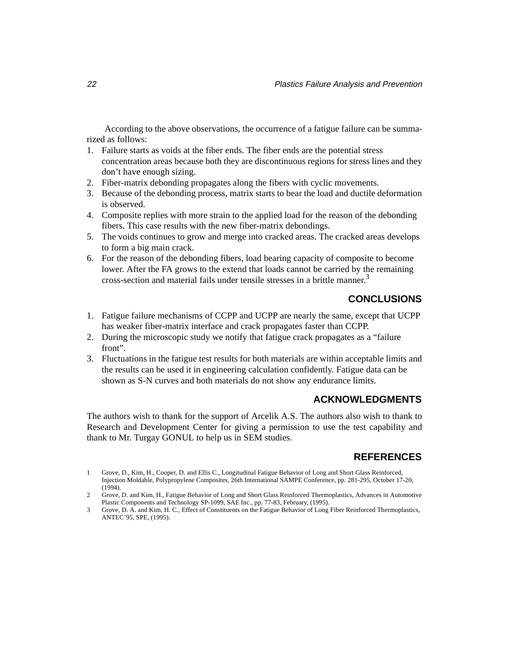According to the above observations, the occurrence of a fatigue failure can be summarized as follows:

- 1. Failure starts as voids at the fiber ends. The fiber ends are the potential stress concentration areas because both they are discontinuous regions for stress lines and they don't have enough sizing.
- 2. Fiber-matrix debonding propagates along the fibers with cyclic movements.
- 3. Because of the debonding process, matrix starts to bear the load and ductile deformation is observed.
- 4. Composite replies with more strain to the applied load for the reason of the debonding fibers. This case results with the new fiber-matrix debondings.
- 5. The voids continues to grow and merge into cracked areas. The cracked areas develops to form a big main crack.
- 6. For the reason of the debonding fibers, load bearing capacity of composite to become lower. After the FA grows to the extend that loads cannot be carried by the remaining cross-section and material fails under tensile stresses in a brittle manner.<sup>3</sup>

## **CONCLUSIONS**

- 1. Fatigue failure mechanisms of CCPP and UCPP are nearly the same, except that UCPP has weaker fiber-matrix interface and crack propagates faster than CCPP.
- 2. During the microscopic study we notify that fatigue crack propagates as a "failure front"
- 3. Fluctuations in the fatigue test results for both materials are within acceptable limits and the results can be used it in engineering calculation confidently. Fatigue data can be shown as S-N curves and both materials do not show any endurance limits.

## **ACKNOWLEDGMENTS**

The authors wish to thank for the support of Arcelik A.S. The authors also wish to thank to Research and Development Center for giving a permission to use the test capability and thank to Mr. Turgay GONUL to help us in SEM studies.

## **REFERENCES**

- 1 Grove, D., Kim, H., Cooper, D. and Ellis C., Longitudinal Fatigue Behavior of Long and Short Glass Reinforced, Injection Moldable, Polypropylene Composites, 26th International SAMPE Conference, pp. 281-295, October 17-20, (1994).
- 2 Grove, D. and Kim, H., Fatigue Behavior of Long and Short Glass Reinforced Thermoplastics, Advances in Automotive Plastic Components and Technology SP-1099, SAE Inc., pp. 77-83, February, (1995).
- 3 Grove, D. A. and Kim, H. C., Effect of Constituents on the Fatigue Behavior of Long Fiber Reinforced Thermoplastics, ANTEC'95, SPE, (1995).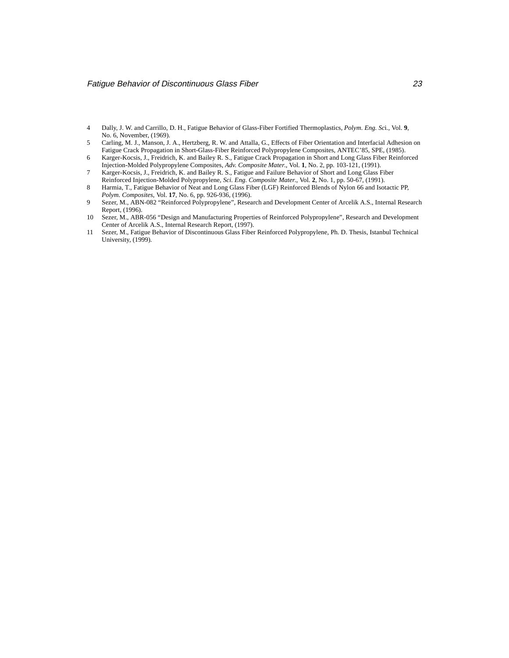- 4 Dally, J. W. and Carrillo, D. H., Fatigue Behavior of Glass-Fiber Fortified Thermoplastics, *Polym. Eng. Sc*i., Vol. **9**, No. 6, November, (1969).
- 5 Carling, M. J., Manson, J. A., Hertzberg, R. W. and Attalla, G., Effects of Fiber Orientation and Interfacial Adhesion on Fatigue Crack Propagation in Short-Glass-Fiber Reinforced Polypropylene Composites, ANTEC'85, SPE, (1985).
- 6 Karger-Kocsis, J., Freidrich, K. and Bailey R. S., Fatigue Crack Propagation in Short and Long Glass Fiber Reinforced Injection-Molded Polypropylene Composites, *Adv. Composite Mater*., Vol. 1, No. 2, pp. 103-121, (1991).<br>7 Karger-Kocsis, J., Freidrich, K. and Bailey R. S., Fatigue and Failure Behavior of Short and Long Glass I
- 7 Karger-Kocsis, J., Freidrich, K. and Bailey R. S., Fatigue and Failure Behavior of Short and Long Glass Fiber Reinforced Injection-Molded Polypropylene, *Sci. Eng. Composite Mater*., Vol. **2**, No. 1, pp. 50-67, (1991).
- 8 Harmia, T., Fatigue Behavior of Neat and Long Glass Fiber (LGF) Reinforced Blends of Nylon 66 and Isotactic PP, *Polym. Composites*, Vol. **17**, No. 6, pp. 926-936, (1996).
- 9 Sezer, M., ABN-082 "Reinforced Polypropylene", Research and Development Center of Arcelik A.S., Internal Research Report, (1996).
- 10 Sezer, M., ABR-056 "Design and Manufacturing Properties of Reinforced Polypropylene", Research and Development Center of Arcelik A.S., Internal Research Report, (1997).
- 11 Sezer, M., Fatigue Behavior of Discontinuous Glass Fiber Reinforced Polypropylene, Ph. D. Thesis, Istanbul Technical University, (1999).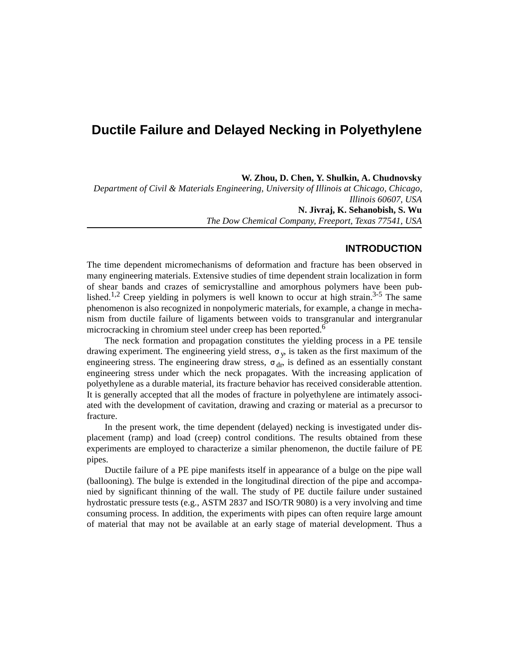# **Ductile Failure and Delayed Necking in Polyethylene**

**W. Zhou, D. Chen, Y. Shulkin, A. Chudnovsky**

*Department of Civil & Materials Engineering, University of Illinois at Chicago, Chicago, Illinois 60607, USA* **N. Jivraj, K. Sehanobish, S. Wu**

*The Dow Chemical Company, Freeport, Texas 77541, USA*

## **INTRODUCTION**

The time dependent micromechanisms of deformation and fracture has been observed in many engineering materials. Extensive studies of time dependent strain localization in form of shear bands and crazes of semicrystalline and amorphous polymers have been published.<sup>1,2</sup> Creep yielding in polymers is well known to occur at high strain.<sup>3-5</sup> The same phenomenon is also recognized in nonpolymeric materials, for example, a change in mechanism from ductile failure of ligaments between voids to transgranular and intergranular microcracking in chromium steel under creep has been reported.<sup>6</sup>

The neck formation and propagation constitutes the yielding process in a PE tensile drawing experiment. The engineering yield stress,  $\sigma_y$  is taken as the first maximum of the engineering stress. The engineering draw stress,  $\sigma_{dr}$  is defined as an essentially constant engineering stress under which the neck propagates. With the increasing application of polyethylene as a durable material, its fracture behavior has received considerable attention. It is generally accepted that all the modes of fracture in polyethylene are intimately associated with the development of cavitation, drawing and crazing or material as a precursor to fracture.

In the present work, the time dependent (delayed) necking is investigated under displacement (ramp) and load (creep) control conditions. The results obtained from these experiments are employed to characterize a similar phenomenon, the ductile failure of PE pipes.

Ductile failure of a PE pipe manifests itself in appearance of a bulge on the pipe wall (ballooning). The bulge is extended in the longitudinal direction of the pipe and accompanied by significant thinning of the wall. The study of PE ductile failure under sustained hydrostatic pressure tests (e.g., ASTM 2837 and ISO/TR 9080) is a very involving and time consuming process. In addition, the experiments with pipes can often require large amount of material that may not be available at an early stage of material development. Thus a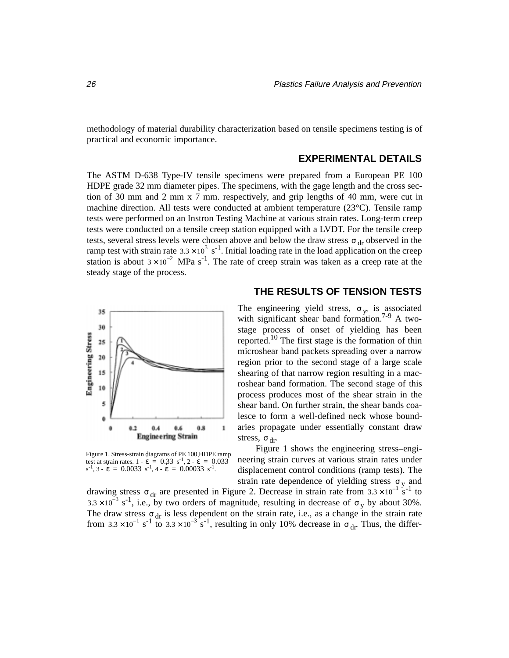methodology of material durability characterization based on tensile specimens testing is of practical and economic importance.

#### **EXPERIMENTAL DETAILS**

The ASTM D-638 Type-IV tensile specimens were prepared from a European PE 100 HDPE grade 32 mm diameter pipes. The specimens, with the gage length and the cross section of 30 mm and 2 mm x 7 mm. respectively, and grip lengths of 40 mm, were cut in machine direction. All tests were conducted at ambient temperature (23°C). Tensile ramp tests were performed on an Instron Testing Machine at various strain rates. Long-term creep tests were conducted on a tensile creep station equipped with a LVDT. For the tensile creep tests, several stress levels were chosen above and below the draw stress  $\sigma_{dr}$  observed in the ramp test with strain rate  $3.3 \times 10^3$  s<sup>-1</sup>. Initial loading rate in the load application on the creep station is about  $3 \times 10^{-2}$  MPa s<sup>-1</sup>. The rate of creep strain was taken as a creep rate at the steady stage of the process. σ  $3.3 \times 10^{3}$ 



Figure 1. Stress-strain diagrams of PE 100 HDPE ramp test at strain rates.  $1 - \tilde{\epsilon} = 0.33 \text{ s}^{-1}$ , 2 -Figure 1. Stress-strain diagrams of PE 100 HDPE ram<br>test at strain rates.  $1 - \epsilon = 0.33 \text{ s}^{-1}$ ,  $2 - \epsilon = 0.033 \text{ s}^{-1}$ ,  $3 - \epsilon = 0.0033 \text{ s}^{-1}$ ,  $4 - \epsilon = 0.00033 \text{ s}^{-1}$ . train rates. 1 - ε = 0.55 s , 2 - ε<br>
ε = 0.0033 s<sup>-1</sup>, 4 - ε = 0.00033

#### **THE RESULTS OF TENSION TESTS**

The engineering yield stress,  $\sigma_y$ , is associated with significant shear band formation.<sup>7-9</sup> A twostage process of onset of yielding has been reported.10 The first stage is the formation of thin microshear band packets spreading over a narrow region prior to the second stage of a large scale shearing of that narrow region resulting in a macroshear band formation. The second stage of this process produces most of the shear strain in the shear band. On further strain, the shear bands coalesce to form a well-defined neck whose boundaries propagate under essentially constant draw stress,  $\sigma_{dr}$ . σ

Figure 1 shows the engineering stress–engineering strain curves at various strain rates under displacement control conditions (ramp tests). The strain rate dependence of yielding stress  $\sigma_y$  and

drawing stress  $\sigma_{dr}$  are presented in Figure 2. Decrease in strain rate from  $3.3 \times 10^{-1}$  s<sup>-1</sup> to  $3.3 \times 10^{-3}$  s<sup>-1</sup>, i.e., by two orders of magnitude, resulting in decrease of  $\sigma_y$  by about 30%. The draw stress  $\sigma_{dr}$  is less dependent on the strain rate, i.e., as a change in the strain rate from  $3.3 \times 10^{-1}$  s<sup>-1</sup> to  $3.3 \times 10^{-3}$  s<sup>-1</sup>, resulting in only 10% decrease in  $\sigma_{dr}$ . Thus, the differσ  $3.3 \times 10^{-1}$  s<sup>-1</sup> to  $3.3 \times 10^{-3}$  s<sup>-1</sup>, resulting in only 10% decrease in  $\sigma$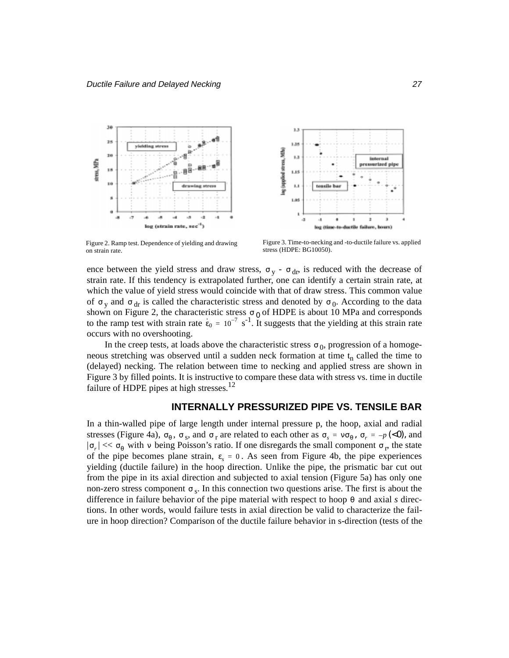



Figure 2. Ramp test. Dependence of yielding and drawing on strain rate.

Figure 3. Time-to-necking and -to-ductile failure vs. applied stress (HDPE: BG10050).

ence between the yield stress and draw stress,  $\sigma_y$  -  $\sigma_{dr}$ , is reduced with the decrease of strain rate. If this tendency is extrapolated further, one can identify a certain strain rate, at which the value of yield stress would coincide with that of draw stress. This common value of  $\sigma_y$  and  $\sigma_{dr}$  is called the characteristic stress and denoted by  $\sigma_0$ . According to the data shown on Figure 2, the characteristic stress  $\sigma_0$  of HDPE is about 10 MPa and corresponds to the ramp test with strain rate  $\varepsilon_0 = 10^{-7} \text{ s}^{-1}$ . It suggests that the yielding at this strain rate occurs with no overshooting. σ  $\dot{\epsilon}_0 = 10^{-7}$ 

In the creep tests, at loads above the characteristic stress  $\sigma_0$ , progression of a homogeneous stretching was observed until a sudden neck formation at time  $t_n$  called the time to (delayed) necking. The relation between time to necking and applied stress are shown in Figure 3 by filled points. It is instructive to compare these data with stress vs. time in ductile failure of HDPE pipes at high stresses.<sup>12</sup>

#### **INTERNALLY PRESSURIZED PIPE VS. TENSILE BAR**

In a thin-walled pipe of large length under internal pressure p, the hoop, axial and radial stresses (Figure 4a),  $\sigma_{\theta}$ ,  $\sigma_{s}$ , and  $\sigma_{r}$  are related to each other as  $\sigma_{s} = v\sigma_{\theta}$ ,  $\sigma_{r} = -p \ll 0$ ), and  $|\sigma_r| \ll \sigma_\theta$  with v being Poisson's ratio. If one disregards the small component  $\sigma_r$ , the state of the pipe becomes plane strain,  $\varepsilon$ <sub>s</sub> = 0. As seen from Figure 4b, the pipe experiences yielding (ductile failure) in the hoop direction. Unlike the pipe, the prismatic bar cut out from the pipe in its axial direction and subjected to axial tension (Figure 5a) has only one non-zero stress component  $\sigma_s$ . In this connection two questions arise. The first is about the difference in failure behavior of the pipe material with respect to hoop θ and axial *s* directions. In other words, would failure tests in axial direction be valid to characterize the failure in hoop direction? Comparison of the ductile failure behavior in s-direction (tests of the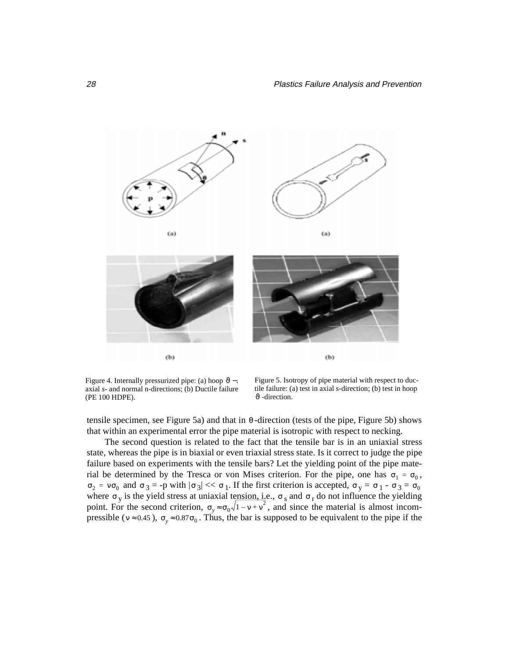

Figure 4. Internally pressurized pipe: (a) hoop  $\vartheta$  –. axial *s-* and normal n-directions; (b) Ductile failure (PE 100 HDPE).

Figure 5. Isotropy of pipe material with respect to ductile failure: (a) test in axial s-direction; (b) test in hoop ϑ -direction.

tensile specimen, see Figure 5a) and that in  $\theta$ -direction (tests of the pipe, Figure 5b) shows that within an experimental error the pipe material is isotropic with respect to necking.

The second question is related to the fact that the tensile bar is in an uniaxial stress state, whereas the pipe is in biaxial or even triaxial stress state. Is it correct to judge the pipe failure based on experiments with the tensile bars? Let the yielding point of the pipe material be determined by the Tresca or von Mises criterion. For the pipe, one has  $\sigma_1 = \sigma_0$ ,  $\sigma_2 = v \sigma_0$  and  $\sigma_3 = -p$  with  $|\sigma_3| \ll \sigma_1$ . If the first criterion is accepted,  $\sigma_y = \sigma_1 - \sigma_3 = \sigma_0$ where  $\sigma_y$  is the yield stress at uniaxial tension, i.e.,  $\sigma_s$  and  $\sigma_r$  do not influence the yielding point. For the second criterion,  $\sigma_v \approx \sigma_0 \sqrt{1-v+v^2}$ , and since the material is almost incompressible ( $v \approx 0.45$ ),  $\sigma_y \approx 0.87\sigma_0$ . Thus, the bar is supposed to be equivalent to the pipe if the  $\sigma_{v}$  is the yield stress at uniaxial tension, i.e.,  $\sigma_{s}$  and  $\sigma$  $\sigma_y \approx \sigma_0 \sqrt{1 - v + v^2}$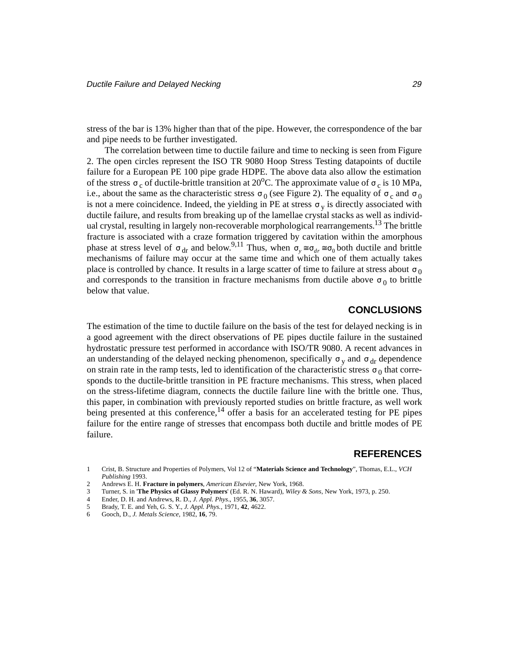stress of the bar is 13% higher than that of the pipe. However, the correspondence of the bar and pipe needs to be further investigated.

The correlation between time to ductile failure and time to necking is seen from Figure 2. The open circles represent the ISO TR 9080 Hoop Stress Testing datapoints of ductile failure for a European PE 100 pipe grade HDPE. The above data also allow the estimation of the stress  $\sigma_c$  of ductile-brittle transition at 20<sup>o</sup>C. The approximate value of  $\sigma_c$  is 10 MPa, i.e., about the same as the characteristic stress  $\sigma_0$  (see Figure 2). The equality of  $\sigma_c$  and  $\sigma_0$ is not a mere coincidence. Indeed, the yielding in PE at stress  $\sigma_y$  is directly associated with ductile failure, and results from breaking up of the lamellae crystal stacks as well as individual crystal, resulting in largely non-recoverable morphological rearrangements.<sup>13</sup> The brittle fracture is associated with a craze formation triggered by cavitation within the amorphous phase at stress level of  $\sigma_{dr}$  and below.<sup>9,11</sup> Thus, when  $\sigma_y \equiv \sigma_{dr} \equiv \sigma_0$  both ductile and brittle mechanisms of failure may occur at the same time and which one of them actually takes place is controlled by chance. It results in a large scatter of time to failure at stress about  $\sigma_0$ and corresponds to the transition in fracture mechanisms from ductile above  $\sigma_0$  to brittle below that value.

## **CONCLUSIONS**

The estimation of the time to ductile failure on the basis of the test for delayed necking is in a good agreement with the direct observations of PE pipes ductile failure in the sustained hydrostatic pressure test performed in accordance with ISO/TR 9080. A recent advances in an understanding of the delayed necking phenomenon, specifically  $\sigma_y$  and  $\sigma_{dr}$  dependence on strain rate in the ramp tests, led to identification of the characteristic stress  $\sigma_0$  that corresponds to the ductile-brittle transition in PE fracture mechanisms. This stress, when placed on the stress-lifetime diagram, connects the ductile failure line with the brittle one. Thus, this paper, in combination with previously reported studies on brittle fracture, as well work being presented at this conference,<sup>14</sup> offer a basis for an accelerated testing for PE pipes failure for the entire range of stresses that encompass both ductile and brittle modes of PE failure.

#### **REFERENCES**

- 4 Ender, D. H. and Andrews, R. D., *J. Appl. Phys*., 1955, **36**, 3057.
- 5 Brady, T. E. and Yeh, G. S. Y., *J. Appl. Phys.,* 1971, **42**, 4622.
- 6 Gooch, D., *J. Metals Science,* 1982, **16**, 79.

<sup>1</sup> Crist, B. Structure and Properties of Polymers, Vol 12 of "**Materials Science and Technology**", Thomas, E.L., *VCH Publishing* 1993.

<sup>2</sup> Andrews E. H. **Fracture in polymers**, *American Elsevier*, New York, 1968.

<sup>3</sup> Turner, S. in '**The Physics of Glassy Polymers**' (Ed. R. N. Haward), *Wiley & Sons*, New York, 1973, p. 250.